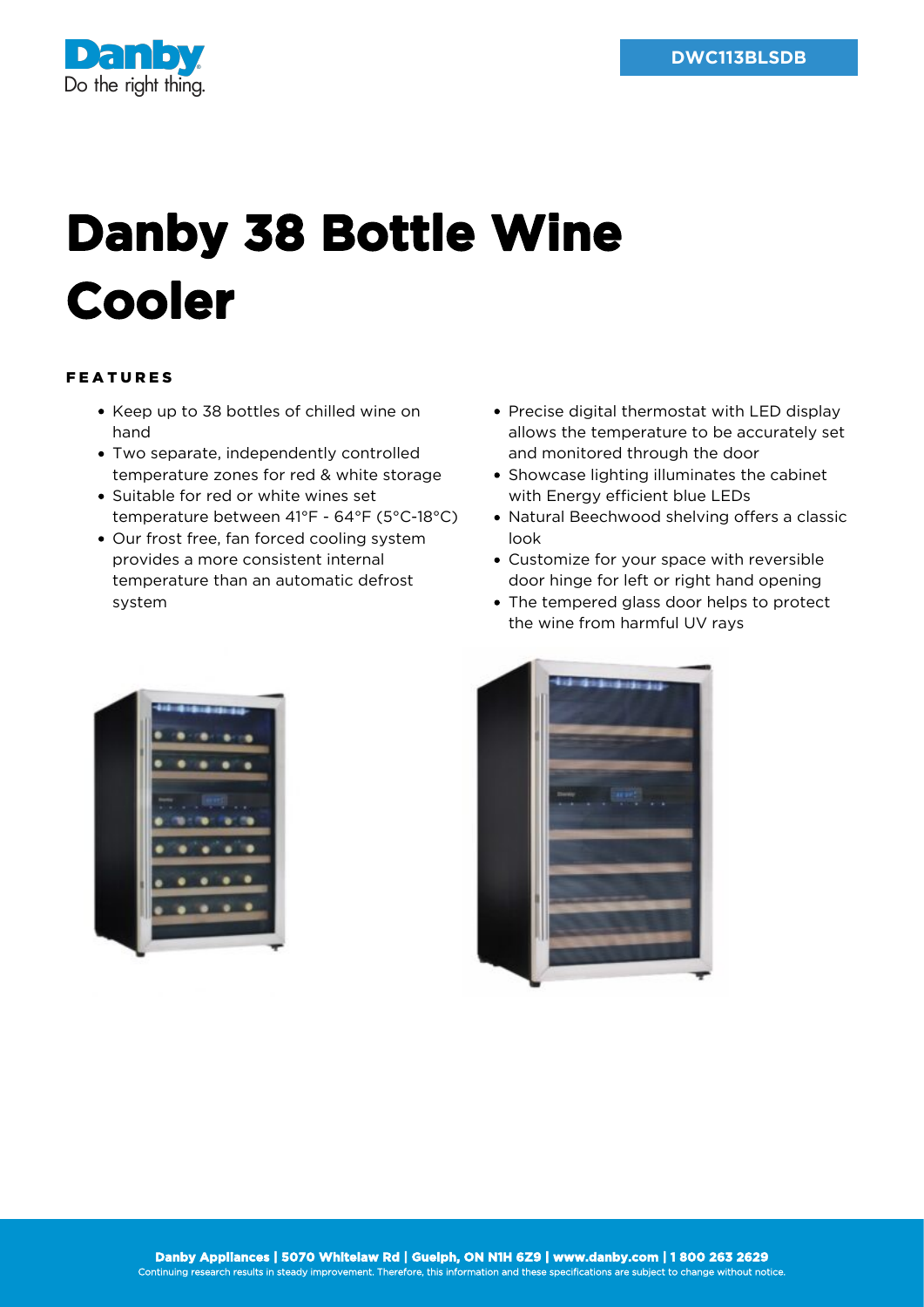

## **Danby 38 Bottle Wine Cooler**

## FEATURES

- Keep up to 38 bottles of chilled wine on hand
- Two separate, independently controlled temperature zones for red & white storage
- Suitable for red or white wines set temperature between 41°F - 64°F (5°C-18°C)
- Our frost free, fan forced cooling system provides a more consistent internal temperature than an automatic defrost system
- Precise digital thermostat with LED display allows the temperature to be accurately set and monitored through the door
- Showcase lighting illuminates the cabinet with Energy efficient blue LEDs
- Natural Beechwood shelving offers a classic look
- Customize for your space with reversible door hinge for left or right hand opening
- The tempered glass door helps to protect the wine from harmful UV rays